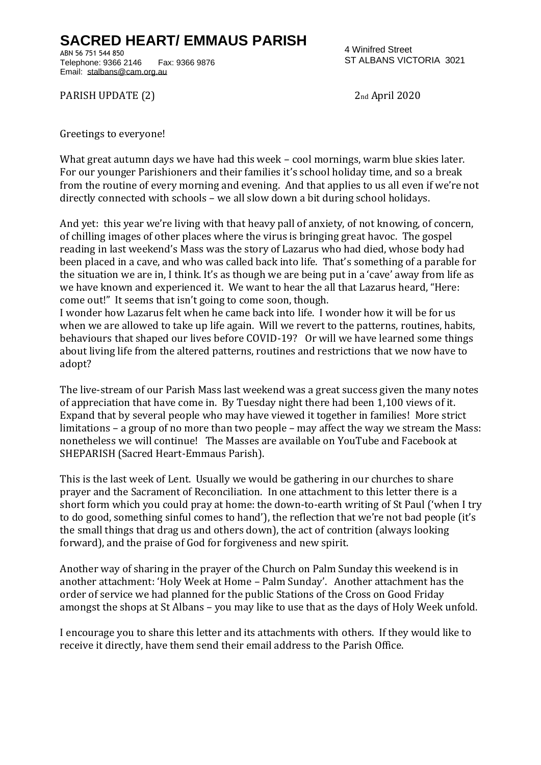## **SACRED HEART/ EMMAUS PARISH**

ABN 56 751 544 850 Telephone: 9366 2146 Fax: 9366 9876 Email: [stalbans@cam.org.au](mailto:stalbans@cam.org.au)

4 Winifred Street ST ALBANS VICTORIA 3021

PARISH UPDATE (2) 2nd April 2020

Greetings to everyone!

What great autumn days we have had this week – cool mornings, warm blue skies later. For our younger Parishioners and their families it's school holiday time, and so a break from the routine of every morning and evening. And that applies to us all even if we're not directly connected with schools – we all slow down a bit during school holidays.

And yet: this year we're living with that heavy pall of anxiety, of not knowing, of concern, of chilling images of other places where the virus is bringing great havoc. The gospel reading in last weekend's Mass was the story of Lazarus who had died, whose body had been placed in a cave, and who was called back into life. That's something of a parable for the situation we are in, I think. It's as though we are being put in a 'cave' away from life as we have known and experienced it. We want to hear the all that Lazarus heard, "Here: come out!" It seems that isn't going to come soon, though.

I wonder how Lazarus felt when he came back into life. I wonder how it will be for us when we are allowed to take up life again. Will we revert to the patterns, routines, habits, behaviours that shaped our lives before COVID-19? Or will we have learned some things about living life from the altered patterns, routines and restrictions that we now have to adopt?

The live-stream of our Parish Mass last weekend was a great success given the many notes of appreciation that have come in. By Tuesday night there had been 1,100 views of it. Expand that by several people who may have viewed it together in families! More strict limitations – a group of no more than two people – may affect the way we stream the Mass: nonetheless we will continue! The Masses are available on YouTube and Facebook at SHEPARISH (Sacred Heart-Emmaus Parish).

This is the last week of Lent. Usually we would be gathering in our churches to share prayer and the Sacrament of Reconciliation. In one attachment to this letter there is a short form which you could pray at home: the down-to-earth writing of St Paul ('when I try to do good, something sinful comes to hand'), the reflection that we're not bad people (it's the small things that drag us and others down), the act of contrition (always looking forward), and the praise of God for forgiveness and new spirit.

Another way of sharing in the prayer of the Church on Palm Sunday this weekend is in another attachment: 'Holy Week at Home – Palm Sunday'. Another attachment has the order of service we had planned for the public Stations of the Cross on Good Friday amongst the shops at St Albans – you may like to use that as the days of Holy Week unfold.

I encourage you to share this letter and its attachments with others. If they would like to receive it directly, have them send their email address to the Parish Office.